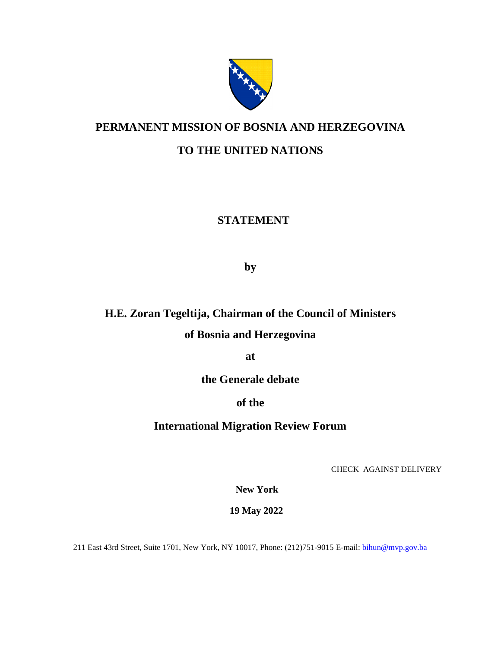

### **PERMANENT MISSION OF BOSNIA AND HERZEGOVINA**

#### **TO THE UNITED NATIONS**

### **STATEMENT**

 **by**

# **H.E. Zoran Tegeltija, Chairman of the Council of Ministers**

### **of Bosnia and Herzegovina**

**at**

**the Generale debate** 

#### **of the**

#### **International Migration Review Forum**

CHECK AGAINST DELIVERY

**New York** 

 **19 May 2022**

211 East 43rd Street, Suite 1701, New York, NY 10017, Phone: (212)751-9015 E-mail: [bihun@mvp.gov.ba](mailto:bihun@mvp.gov.ba)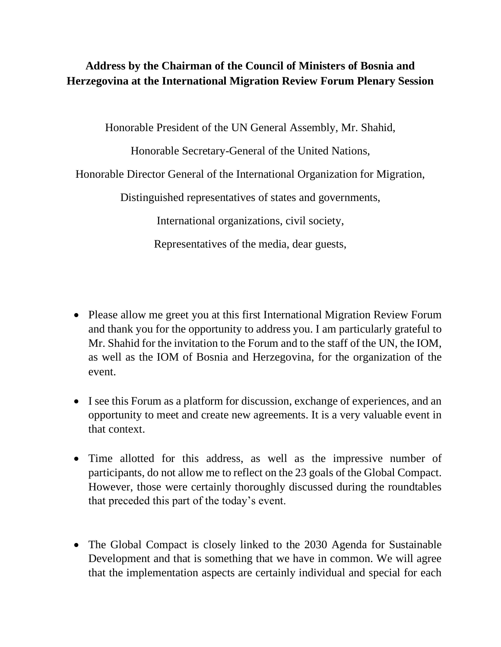## **Address by the Chairman of the Council of Ministers of Bosnia and Herzegovina at the International Migration Review Forum Plenary Session**

Honorable President of the UN General Assembly, Mr. Shahid,

Honorable Secretary-General of the United Nations,

Honorable Director General of the International Organization for Migration,

Distinguished representatives of states and governments,

International organizations, civil society,

Representatives of the media, dear guests,

- Please allow me greet you at this first International Migration Review Forum and thank you for the opportunity to address you. I am particularly grateful to Mr. Shahid for the invitation to the Forum and to the staff of the UN, the IOM, as well as the IOM of Bosnia and Herzegovina, for the organization of the event.
- I see this Forum as a platform for discussion, exchange of experiences, and an opportunity to meet and create new agreements. It is a very valuable event in that context.
- Time allotted for this address, as well as the impressive number of participants, do not allow me to reflect on the 23 goals of the Global Compact. However, those were certainly thoroughly discussed during the roundtables that preceded this part of the today's event.
- The Global Compact is closely linked to the 2030 Agenda for Sustainable Development and that is something that we have in common. We will agree that the implementation aspects are certainly individual and special for each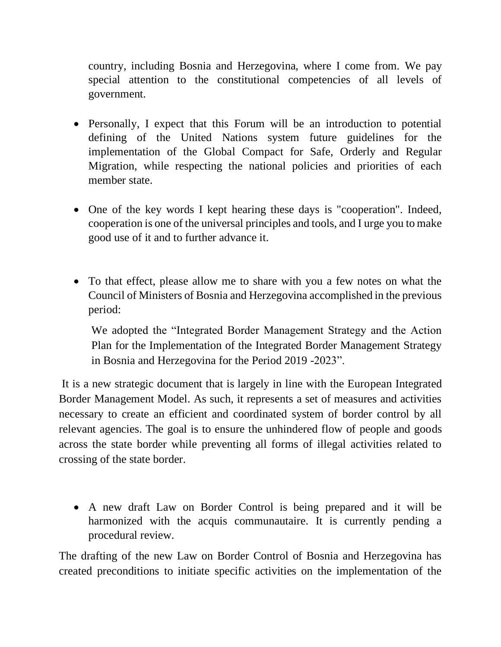country, including Bosnia and Herzegovina, where I come from. We pay special attention to the constitutional competencies of all levels of government.

- Personally, I expect that this Forum will be an introduction to potential defining of the United Nations system future guidelines for the implementation of the Global Compact for Safe, Orderly and Regular Migration, while respecting the national policies and priorities of each member state.
- One of the key words I kept hearing these days is "cooperation". Indeed, cooperation is one of the universal principles and tools, and I urge you to make good use of it and to further advance it.
- To that effect, please allow me to share with you a few notes on what the Council of Ministers of Bosnia and Herzegovina accomplished in the previous period:

We adopted the "Integrated Border Management Strategy and the Action Plan for the Implementation of the Integrated Border Management Strategy in Bosnia and Herzegovina for the Period 2019 -2023".

It is a new strategic document that is largely in line with the European Integrated Border Management Model. As such, it represents a set of measures and activities necessary to create an efficient and coordinated system of border control by all relevant agencies. The goal is to ensure the unhindered flow of people and goods across the state border while preventing all forms of illegal activities related to crossing of the state border.

• A new draft Law on Border Control is being prepared and it will be harmonized with the acquis communautaire. It is currently pending a procedural review.

The drafting of the new Law on Border Control of Bosnia and Herzegovina has created preconditions to initiate specific activities on the implementation of the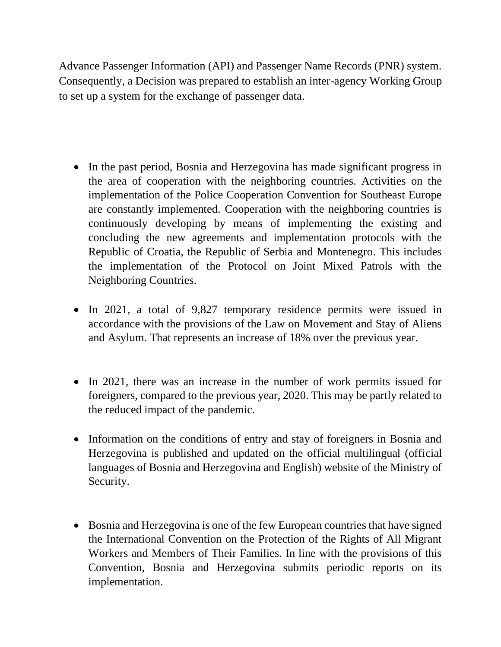Advance Passenger Information (API) and Passenger Name Records (PNR) system. Consequently, a Decision was prepared to establish an inter-agency Working Group to set up a system for the exchange of passenger data.

- In the past period, Bosnia and Herzegovina has made significant progress in the area of cooperation with the neighboring countries. Activities on the implementation of the Police Cooperation Convention for Southeast Europe are constantly implemented. Cooperation with the neighboring countries is continuously developing by means of implementing the existing and concluding the new agreements and implementation protocols with the Republic of Croatia, the Republic of Serbia and Montenegro. This includes the implementation of the Protocol on Joint Mixed Patrols with the Neighboring Countries.
- In 2021, a total of 9,827 temporary residence permits were issued in accordance with the provisions of the Law on Movement and Stay of Aliens and Asylum. That represents an increase of 18% over the previous year.
- In 2021, there was an increase in the number of work permits issued for foreigners, compared to the previous year, 2020. This may be partly related to the reduced impact of the pandemic.
- Information on the conditions of entry and stay of foreigners in Bosnia and Herzegovina is published and updated on the official multilingual (official languages of Bosnia and Herzegovina and English) website of the Ministry of Security.
- Bosnia and Herzegovina is one of the few European countries that have signed the International Convention on the Protection of the Rights of All Migrant Workers and Members of Their Families. In line with the provisions of this Convention, Bosnia and Herzegovina submits periodic reports on its implementation.